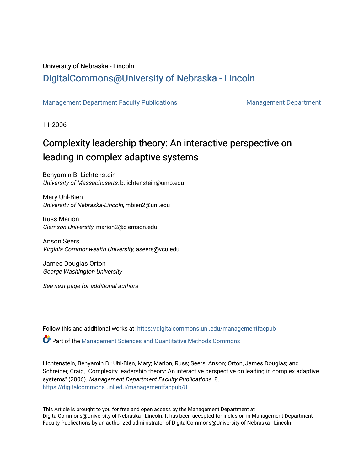# University of Nebraska - Lincoln [DigitalCommons@University of Nebraska - Lincoln](https://digitalcommons.unl.edu/)

#### [Management Department Faculty Publications](https://digitalcommons.unl.edu/managementfacpub) **Management Department** Management Department

11-2006

# Complexity leadership theory: An interactive perspective on leading in complex adaptive systems

Benyamin B. Lichtenstein University of Massachusetts, b.lichtenstein@umb.edu

Mary Uhl-Bien University of Nebraska-Lincoln, mbien2@unl.edu

Russ Marion Clemson University, marion2@clemson.edu

Anson Seers Virginia Commonwealth University, aseers@vcu.edu

James Douglas Orton George Washington University

See next page for additional authors

Follow this and additional works at: [https://digitalcommons.unl.edu/managementfacpub](https://digitalcommons.unl.edu/managementfacpub?utm_source=digitalcommons.unl.edu%2Fmanagementfacpub%2F8&utm_medium=PDF&utm_campaign=PDFCoverPages)

Part of the [Management Sciences and Quantitative Methods Commons](http://network.bepress.com/hgg/discipline/637?utm_source=digitalcommons.unl.edu%2Fmanagementfacpub%2F8&utm_medium=PDF&utm_campaign=PDFCoverPages)

Lichtenstein, Benyamin B.; Uhl-Bien, Mary; Marion, Russ; Seers, Anson; Orton, James Douglas; and Schreiber, Craig, "Complexity leadership theory: An interactive perspective on leading in complex adaptive systems" (2006). Management Department Faculty Publications. 8. [https://digitalcommons.unl.edu/managementfacpub/8](https://digitalcommons.unl.edu/managementfacpub/8?utm_source=digitalcommons.unl.edu%2Fmanagementfacpub%2F8&utm_medium=PDF&utm_campaign=PDFCoverPages)

This Article is brought to you for free and open access by the Management Department at DigitalCommons@University of Nebraska - Lincoln. It has been accepted for inclusion in Management Department Faculty Publications by an authorized administrator of DigitalCommons@University of Nebraska - Lincoln.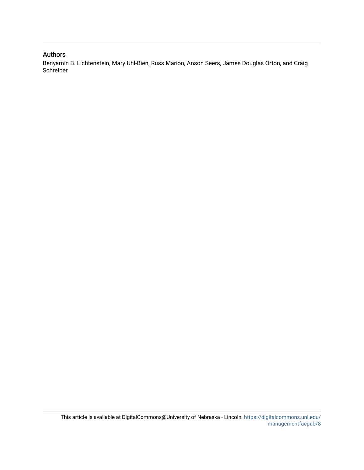#### Authors

Benyamin B. Lichtenstein, Mary Uhl-Bien, Russ Marion, Anson Seers, James Douglas Orton, and Craig Schreiber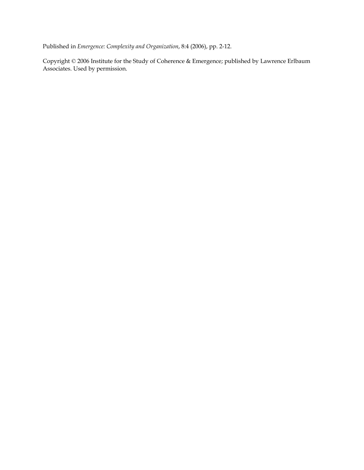Published in *Emergence: Complexity and Organization*, 8:4 (2006), pp. 2-12.

Copyright © 2006 Institute for the Study of Coherence & Emergence; published by Lawrence Erlbaum Associates. Used by permission.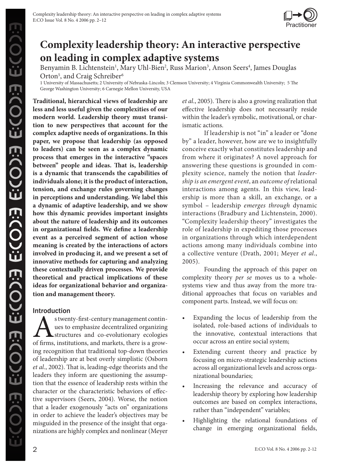

# **Complexity leadership theory: An interactive perspective on leading in complex adaptive systems**

Benyamin B. Lichtenstein<sup>1</sup>, Mary Uhl-Bien<sup>2</sup>, Russ Marion<sup>3</sup>, Anson Seers<sup>4</sup>, James Douglas Orton<sup>5</sup>, and Craig Schreiber<sup>6</sup>

1 University of Massachusetts; 2 University of Nebraska-Lincoln; 3 Clemson University; 4 Virginia Commonwealth University; 5 The George Washington University; 6 Carnegie Mellon University, USA

**Traditional, hierarchical views of leadership are less and less useful given the complexities of our modern world. Leadership theory must transition to new perspectives that account for the complex adaptive needs of organizations. In this paper, we propose that leadership (as opposed to leaders) can be seen as a complex dynamic process that emerges in the interactive "spaces between" people and ideas. That is, leadership is a dynamic that transcends the capabilities of individuals alone; it is the product of interaction, tension, and exchange rules governing changes in perceptions and understanding. We label this a dynamic of adaptive leadership, and we show how this dynamic provides important insights about the nature of leadership and its outcomes in organizational fields. We define a leadership event as a perceived segment of action whose meaning is created by the interactions of actors involved in producing it, and we present a set of innovative methods for capturing and analyzing these contextually driven processes. We provide theoretical and practical implications of these ideas for organizational behavior and organization and management theory.**

#### Introduction

As twenty-first-century management contin-<br>ues to emphasize decentralized organizing<br>structures and co-evolutionary ecologies<br>of firms, institutions, and markets, there is a growues to emphasize decentralized organizing **A** structures and co-evolutionary ecologies ing recognition that traditional top-down theories of leadership are at best overly simplistic (Osborn *et al*., 2002). That is, leading-edge theorists and the leaders they inform are questioning the assumption that the essence of leadership rests within the character or the characteristic behaviors of effective supervisors (Seers, 2004). Worse, the notion that a leader exogenously "acts on" organizations in order to achieve the leader's objectives may be misguided in the presence of the insight that organizations are highly complex and nonlinear (Meyer

*et al*., 2005). There is also a growing realization that effective leadership does not necessarily reside within the leader's symbolic, motivational, or charismatic actions.

If leadership is not "in" a leader or "done by" a leader, however, how are we to insightfully conceive exactly what constitutes leadership and from where it originates? A novel approach for answering these questions is grounded in complexity science, namely the notion that *leadership is an emergent event*, an *outcome of* relational interactions among agents. In this view, leadership is more than a skill, an exchange, or a symbol – leadership *emerges through* dynamic interactions (Bradbury and Lichtenstein, 2000). "Complexity leadership theory" investigates the role of leadership in expediting those processes in organizations through which interdependent actions among many individuals combine into a collective venture (Drath, 2001; Meyer *et al*., 2005).

Founding the approach of this paper on complexity theory *per se* moves us to a wholesystems view and thus away from the more traditional approaches that focus on variables and component parts. Instead, we will focus on:

- Expanding the locus of leadership from the isolated, role-based actions of individuals to the innovative, contextual interactions that occur across an entire social system; •
- Extending current theory and practice by focusing on micro-strategic leadership actions across all organizational levels and across organizational boundaries; •
- Increasing the relevance and accuracy of leadership theory by exploring how leadership outcomes are based on complex interactions, rather than "independent" variables; •
- Highlighting the relational foundations of change in emerging organizational fields, •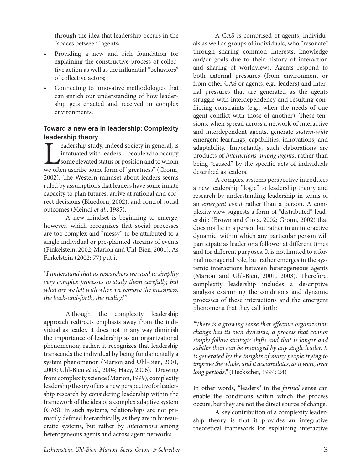through the idea that leadership occurs in the "spaces between" agents;

- Providing a new and rich foundation for explaining the constructive process of collective action as well as the influential "behaviors" of collective actors;
- Connecting to innovative methodologies that can enrich our understanding of how leadership gets enacted and received in complex environments. •

# Toward a new era in leadership: Complexity leadership theory

Example 1 and the society in general, is<br>infatuated with leaders – people who occupy<br>some elevated status or position and to whom<br>we often ascribe some form of "greatness" (Gronn, infatuated with leaders – people who occupy some elevated status or position and to whom we often ascribe some form of "greatness" (Gronn, 2002). The Western mindset about leaders seems ruled by assumptions that leaders have some innate capacity to plan futures, arrive at rational and correct decisions (Bluedorn, 2002), and control social outcomes (Meindl *et al*., 1985).

A new mindset is beginning to emerge, however, which recognizes that social processes are too complex and "messy" to be attributed to a single individual or pre-planned streams of events (Finkelstein, 2002; Marion and Uhl-Bien, 2001). As Finkelstein (2002: 77) put it:

*"I understand that as researchers we need to simplify very complex processes to study them carefully, but what are we left with when we remove the messiness, the back-and-forth, the reality?"*

Although the complexity leadership approach redirects emphasis away from the individual as leader, it does not in any way diminish the importance of leadership as an organizational phenomenon; rather, it recognizes that leadership transcends the individual by being fundamentally a system phenomenon (Marion and Uhl-Bien, 2001, 2003; Uhl-Bien *et al*., 2004; Hazy, 2006). Drawing from complexity science (Marion, 1999), complexity leadership theory offers a new perspective for leadership research by considering leadership within the framework of the idea of a complex adaptive system (CAS). In such systems, relationships are not primarily defined hierarchically, as they are in bureaucratic systems, but rather by *interactions* among heterogeneous agents and across agent networks.

A CAS is comprised of agents, individuals as well as groups of individuals, who "resonate" through sharing common interests, knowledge and/or goals due to their history of interaction and sharing of worldviews. Agents respond to both external pressures (from environment or from other CAS or agents, e.g., leaders) and internal pressures that are generated as the agents struggle with interdependency and resulting conflicting constraints (e.g., when the needs of one agent conflict with those of another). These tensions, when spread across a network of interactive and interdependent agents, generate *system-wide*  emergent learnings, capabilities, innovations, and adaptability. Importantly, such elaborations are products of *interactions among agents*, rather than being "caused" by the specific acts of individuals described as leaders.

A complex systems perspective introduces a new leadership "logic" to leadership theory and research by understanding leadership in terms of an *emergent event* rather than a person. A complexity view suggests a form of "distributed" leadership (Brown and Gioia, 2002; Gronn, 2002) that does not lie in a person but rather in an interactive dynamic, within which any particular person will participate as leader or a follower at different times and for different purposes. It is not limited to a formal managerial role, but rather emerges in the systemic interactions between heterogeneous agents (Marion and Uhl-Bien, 2001, 2003). Therefore, complexity leadership includes a descriptive analysis examining the conditions and dynamic processes of these interactions and the emergent phenomena that they call forth:

*"There is a growing sense that effective organization change has its own dynamic, a process that cannot simply follow strategic shifts and that is longer and subtler than can be managed by any single leader. It is generated by the insights of many people trying to improve the whole, and it accumulates, as it were, over long periods."* (Heckscher, 1994: 24)

In other words, "leaders" in the *formal* sense can enable the conditions within which the process occurs, but they are not the direct source of change.

A key contribution of a complexity leadership theory is that it provides an integrative theoretical framework for explaining interactive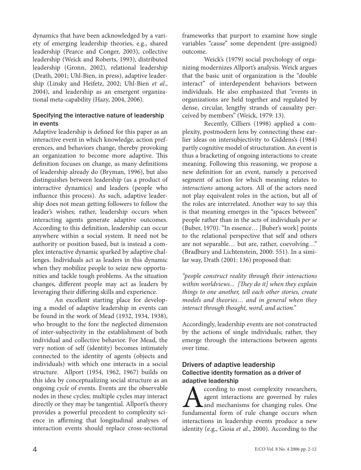dynamics that have been acknowledged by a variety of emerging leadership theories, e.g., shared leadership (Pearce and Conger, 2003), collective leadership (Weick and Roberts, 1993), distributed leadership (Gronn, 2002), relational leadership (Drath, 2001; Uhl-Bien, in press), adaptive leadership (Linsky and Heifetz, 2002; Uhl-Bien *et al*., 2004), and leadership as an emergent organizational meta-capability (Hazy, 2004, 2006).

#### Specifying the interactive nature of leadership in events

Adaptive leadership is defined for this paper as an interactive event in which knowledge, action preferences, and behaviors change, thereby provoking an organization to become more adaptive. This definition focuses on change, as many definitions of leadership already do (Bryman, 1996), but also distinguishes between leadership (as a product of interactive dynamics) and leaders (people who influence this process). As such, adaptive leadership does not mean getting followers to follow the leader's wishes; rather, leadership occurs when interacting agents generate adaptive outcomes. According to this definition, leadership can occur anywhere within a social system. It need not be authority or position based, but is instead a complex interactive dynamic sparked by adaptive challenges. Individuals act as leaders in this dynamic when they mobilize people to seize new opportunities and tackle tough problems. As the situation changes, different people may act as leaders by leveraging their differing skills and experience.

An excellent starting place for developing a model of adaptive leadership in events can be found in the work of Mead (1932, 1934, 1938), who brought to the fore the neglected dimension of inter-subjectivity in the establishment of both individual and collective behavior. For Mead, the very notion of self (identity) becomes intimately connected to the identity of agents (objects and individuals) with which one interacts in a social structure. Allport (1954, 1962, 1967) builds on this idea by conceptualizing social structure as an ongoing *cycle* of events. Events are the observable nodes in these cycles; multiple cycles may interact directly or they may be tangential. Allport's theory provides a powerful precedent to complexity science in affirming that longitudinal analyses of interaction events should replace cross-sectional

frameworks that purport to examine how single variables "cause" some dependent (pre-assigned) outcome.

Weick's (1979) social psychology of organizing modernizes Allport's analysis. Weick argues that the basic unit of organization is the "double interact" of interdependent behaviors between individuals. He also emphasized that "events in organizations are held together and regulated by dense, circular, lengthy strands of causality perceived by members" (Weick, 1979: 13).

Recently, Cilliers (1998) applied a complexity, postmodern lens by connecting these earlier ideas on intersubjectivity to Giddens's (1984) partly cognitive model of structuration. An event is thus a bracketing of ongoing interactions to create meaning. Following this reasoning, we propose a new definition for an event, namely a perceived segment of action for which meaning relates to *interactions* among actors. All of the actors need not play equivalent roles in the action, but all of the roles are interrelated. Another way to say this is that meaning emerges in the "spaces between" people rather than in the acts of individuals *per se*  (Buber, 1970). "In essence… [Buber's work] points to the relational perspective that self and others are not separable… but are, rather, coevolving…" (Bradbury and Lichtenstein, 2000: 551). In a similar way, Drath (2001: 136) proposed that:

*"people construct reality through their interactions within worldviews... [They do it] when they explain things to one another, tell each other stories, create models and theories… and in general when they interact through thought, word, and action."*

Accordingly, leadership events are not constructed by the actions of single individuals; rather, they emerge through the interactions between agents over time.

## Drivers of adaptive leadership Collective identity formation as a driver of adaptive leadership

cording to most complexity researchers, agent interactions are governed by rules and mechanisms for changing rules. One fundamental form of rule change occurs when agent interactions are governed by rules and mechanisms for changing rules. One interactions in leadership events produce a new identity (e.g., Gioia *et al*., 2000). According to the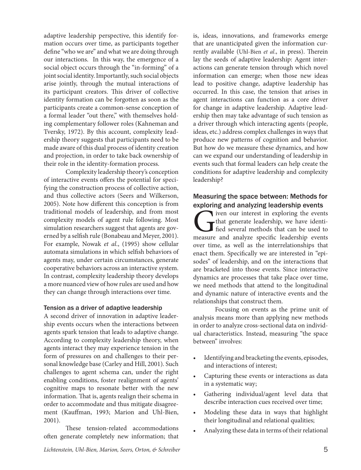adaptive leadership perspective, this identify formation occurs over time, as participants together define "who we are" and what we are doing through our interactions. In this way, the emergence of a social object occurs through the "in-forming" of a joint social identity. Importantly, such social objects arise jointly, through the mutual interactions of its participant creators. This driver of collective identity formation can be forgotten as soon as the participants create a common-sense conception of a formal leader "out there," with themselves holding complementary follower roles (Kahneman and Tversky, 1972). By this account, complexity leadership theory suggests that participants need to be made aware of this dual process of identity creation and projection, in order to take back ownership of their role in the identity-formation process.

Complexity leadership theory's conception of interactive events offers the potential for specifying the construction process of collective action, and thus collective actors (Seers and Wilkerson, 2005). Note how different this conception is from traditional models of leadership, and from most complexity models of agent rule following. Most simulation researchers suggest that agents are governed by a selfish rule (Bonabeau and Meyer, 2001). For example, Nowak *et al*., (1995) show cellular automata simulations in which selfish behaviors of agents may, under certain circumstances, generate cooperative behaviors across an interactive system. In contrast, complexity leadership theory develops a more nuanced view of how rules are used and how they can change through interactions over time.

#### Tension as a driver of adaptive leadership

A second driver of innovation in adaptive leadership events occurs when the interactions between agents spark tension that leads to adaptive change. According to complexity leadership theory, when agents interact they may experience tension in the form of pressures on and challenges to their personal knowledge base (Carley and Hill, 2001). Such challenges to agent schema can, under the right enabling conditions, foster realignment of agents' cognitive maps to resonate better with the new information. That is, agents realign their schema in order to accommodate and thus mitigate disagreement (Kauffman, 1993; Marion and Uhl-Bien, 2001).

These tension-related accommodations often generate completely new information; that

is, ideas, innovations, and frameworks emerge that are unanticipated given the information currently available (Uhl-Bien *et al*., in press). Therein lay the seeds of adaptive leadership: Agent interactions can generate tension through which novel information can emerge; when those new ideas lead to positive change, adaptive leadership has occurred. In this case, the tension that arises in agent interactions can function as a core driver for change in adaptive leadership. Adaptive leadership then may take advantage of such tension as a driver through which interacting agents (people, ideas, etc.) address complex challenges in ways that produce new patterns of cognition and behavior. But how do we measure these dynamics, and how can we expand our understanding of leadership in events such that formal leaders can help create the conditions for adaptive leadership and complexity leadership?

## Measuring the space between: Methods for exploring and analyzing leadership events

liven our interest in exploring the events that generate leadership, we have identified several methods that can be used to measure and analyze specific leadership events over time, as well as the interrelationships that enact them. Specifically we are interested in "episodes" of leadership, and on the interactions that are bracketed into those events. Since interactive dynamics are processes that take place over time, we need methods that attend to the longitudinal and dynamic nature of interactive events and the relationships that construct them.

Focusing on events as the prime unit of analysis means more than applying new methods in order to analyze cross-sectional data on individual characteristics. Instead, measuring "the space between" involves:

- Identifying and bracketing the events, episodes, and interactions of interest; •
- Capturing these events or interactions as data in a systematic way; •
- Gathering individual/agent level data that describe interaction cues received over time; •
- Modeling these data in ways that highlight their longitudinal and relational qualities; •
- Analyzing these data in terms of their relational •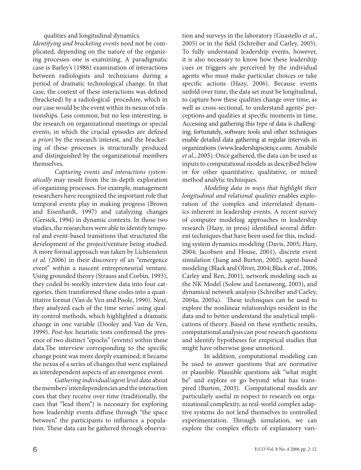qualities and longitudinal dynamics.

*Identifying and bracketing events* need not be complicated, depending on the nature of the organizing processes one is examining. A paradigmatic case is Barley's (1986) examination of interactions between radiologists and technicians during a period of dramatic technological change. In that case, the context of these interactions was defined (bracketed) by a radiological procedure, which in our case would be the event within its nexus of relationships. Less common, but no less interesting, is the research on organizational meetings or special events, in which the crucial episodes are defined *a priori* by the research interest, and the bracketing of these processes is structurally produced and distinguished by the organizational members themselves.

*Capturing events and interactions systematically* may result from the in-depth exploration of organizing processes. For example, management researchers have recognized the important role that temporal events play in making progress (Brown and Eisenhardt, 1997) and catalyzing changes (Gersick, 1994) in dynamic contexts. In those two studies, the researchers were able to identify temporal and event-based transitions that structured the development of the project/venture being studied. A more formal approach was taken by Lichtenstein *et al*. (2006) in their discovery of an "emergence event" within a nascent entrepreneurial venture. Using grounded theory (Strauss and Corbin, 1993), they coded bi-weekly interview data into four categories, then transformed these codes into a quantitative format (Van de Ven and Poole, 1990). Next, they analyzed each of the time series' using quality control methods, which highlighted a dramatic change in one variable (Dooley and Van de Ven, 1999). *Post-hoc* heuristic tests confirmed the presence of two distinct "epochs" (events) within these data.The interview corresponding to the specific change point was more deeply examined; it became the nexus of a series of changes that were explained as interdependent aspects of an emergence event.

*Gathering individual/agent level data* about the members' interdependencies and the interaction cues that they receive over time (traditionally, the cues that "lead them") is necessary for exploring how leadership events diffuse through "the space between" the participants to influence a population. These data can be gathered through observa-

tion and surveys in the laboratory (Guastello *et al*., 2005) or in the field (Schreiber and Carley, 2005). To fully understand leadership events, however, it is also necessary to know how these leadership cues or triggers are perceived by the individual agents who must make particular choices or take specific actions (Hazy, 2006). Because events unfold over time, the data set must be longitudinal, to capture how these qualities change over time, as well as cross-sectional, to understand agents' perceptions and qualities at specific moments in time. Accessing and gathering this type of data is challenging; fortunately, software tools and other techniques enable detailed data gathering at regular intervals in organizations (www.leadershipscience.com; Amabile *et al*., 2005). Once gathered, the data can be used as inputs to computational models as described below or for other quantitative, qualitative, or mixed method analytic techniques.

*Modeling data in ways that highlight their longitudinal and relational qualities* enables exploration of the complex and interrelated dynamics inherent in leadership events. A recent survey of computer modeling approaches in leadership research (Hazy, in press) identified several different techniques that have been used for this, including system dynamics modeling (Davis, 2005; Hazy, 2004; Jacobsen and House, 2001), discrete event simulation (Jiang and Burton, 2002), agent-based modeling (Black and Oliver, 2004; Black *et al*., 2006; Carley and Ren, 2001), network modeling such as the NK Model (Solow and Leenawong, 2003), and dynamical network analysis (Schreiber and Carley, 2004a, 2005a). These techniques can be used to explore the nonlinear relationships resident in the data and to better understand the analytical implications of theory. Based on these synthetic results, computational analysis can pose research questions and identify hypotheses for empirical studies that might have otherwise gone unnoticed.

In addition, computational modeling can be used to answer questions that are normative or plausible. Plausible questions ask "what might be" and explore or go beyond what has transpired (Burton, 2003). Computational models are particularly useful in respect to research on organizational complexity, as real-world complex adaptive systems do not lend themselves to controlled experimentation. Through simulation, we can explore the complex effects of explanatory vari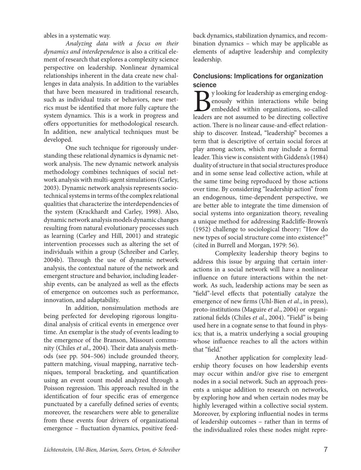ables in a systematic way.

*Analyzing data with a focus on their dynamics and interdependence* is also a critical element of research that explores a complexity science perspective on leadership. Nonlinear dynamical relationships inherent in the data create new challenges in data analysis. In addition to the variables that have been measured in traditional research, such as individual traits or behaviors, new metrics must be identified that more fully capture the system dynamics. This is a work in progress and offers opportunities for methodological research. In addition, new analytical techniques must be developed.

One such technique for rigorously understanding these relational dynamics is dynamic network analysis. The new dynamic network analysis methodology combines techniques of social network analysis with multi-agent simulations (Carley, 2003). Dynamic network analysis represents sociotechnical systems in terms of the complex relational qualities that characterize the interdependencies of the system (Krackhardt and Carley, 1998). Also, dynamic network analysis models dynamic changes resulting from natural evolutionary processes such as learning (Carley and Hill, 2001) and strategic intervention processes such as altering the set of individuals within a group (Schreiber and Carley, 2004b). Through the use of dynamic network analysis, the contextual nature of the network and emergent structure and behavior, including leadership events, can be analyzed as well as the effects of emergence on outcomes such as performance, innovation, and adaptability.

In addition, nonsimulation methods are being perfected for developing rigorous longitudinal analysis of critical events in emergence over time. An exemplar is the study of events leading to the emergence of the Branson, Missouri community (Chiles *et al*., 2004). Their data analysis methods (see pp. 504–506) include grounded theory, pattern matching, visual mapping, narrative techniques, temporal bracketing, and quantification using an event count model analyzed through a Poisson regression. This approach resulted in the identification of four specific eras of emergence punctuated by a carefully defined series of events; moreover, the researchers were able to generalize from these events four drivers of organizational emergence – fluctuation dynamics, positive feed-

back dynamics, stabilization dynamics, and recombination dynamics – which may be applicable as elements of adaptive leadership and complexity leadership.

### Conclusions: Implications for organization science

In y looking for leadership as emerging endogenously within interactions while being embedded within organizations, so-called leaders are not assumed to be directing collective action. There is no linear cause-and-effect relationship to discover. Instead, "leadership" becomes a term that is descriptive of certain social forces at play among actors, which may include a formal leader. This view is consistent with Giddens's (1984) duality of structure in that social structures produce and in some sense lead collective action, while at the same time being reproduced by those actions over time. By considering "leadership action" from an endogenous, time-dependent perspective, we are better able to integrate the time dimension of social systems into organization theory, revealing a unique method for addressing Radcliffe-Brown's (1952) challenge to sociological theory: "How do new types of social structure come into existence?" (cited in Burrell and Morgan, 1979: 56).

Complexity leadership theory begins to address this issue by arguing that certain interactions in a social network will have a nonlinear influence on future interactions within the network. As such, leadership actions may be seen as "field"-level effects that potentially catalyze the emergence of new firms (Uhl-Bien *et al*., in press), proto-institutions (Maguire *et al*., 2004) or organizational fields (Chiles *et al*., 2004). "Field" is being used here in a cognate sense to that found in physics; that is, a matrix underlying a social grouping whose influence reaches to all the actors within that "field."

Another application for complexity leadership theory focuses on how leadership events may occur within and/or give rise to emergent nodes in a social network. Such an approach presents a unique addition to research on networks, by exploring how and when certain nodes may be highly leveraged within a collective social system. Moreover, by exploring influential nodes in terms of leadership outcomes – rather than in terms of the individualized roles these nodes might repre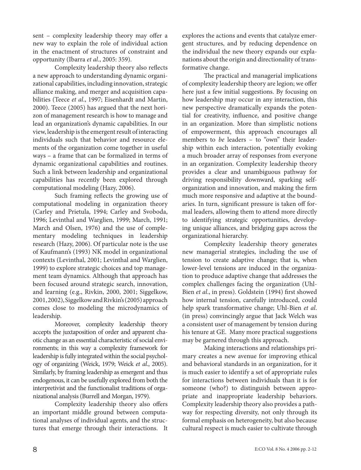sent – complexity leadership theory may offer a new way to explain the role of individual action in the enactment of structures of constraint and opportunity (Ibarra *et al*., 2005: 359).

Complexity leadership theory also reflects a new approach to understanding dynamic organizational capabilities, including innovation, strategic alliance making, and merger and acquisition capabilities (Teece *et al*., 1997; Eisenhardt and Martin, 2000). Teece (2005) has argued that the next horizon of management research is how to manage and lead an organization's dynamic capabilities. In our view, leadership is the emergent result of interacting individuals such that behavior and resource elements of the organization come together in useful ways – a frame that can be formalized in terms of dynamic organizational capabilities and routines. Such a link between leadership and organizational capabilities has recently been explored through computational modeling (Hazy, 2006).

Such framing reflects the growing use of computational modeling in organization theory (Carley and Prietula, 1994; Carley and Svoboda, 1996; Levinthal and Warglien, 1999; March, 1991; March and Olsen, 1976) and the use of complementary modeling techniques in leadership research (Hazy, 2006). Of particular note is the use of Kaufmann's (1993) NK model in organizational contexts (Levinthal, 2001; Levinthal and Warglien, 1999) to explore strategic choices and top management team dynamics. Although that approach has been focused around strategic search, innovation, and learning (e.g., Rivkin, 2000, 2001; Siggelkow, 2001, 2002), Siggelkow and Rivkin's (2005) approach comes close to modeling the microdynamics of leadership.

Moreover, complexity leadership theory accepts the juxtaposition of order and apparent chaotic change as an essential characteristic of social environments; in this way a complexity framework for leadership is fully integrated within the social psychology of organizing (Weick, 1979; Weick *et al*., 2005). Similarly, by framing leadership as emergent and thus endogenous, it can be usefully explored from both the interpretivist and the functionalist traditions of organizational analysis (Burrell and Morgan, 1979).

Complexity leadership theory also offers an important middle ground between computational analyses of individual agents, and the structures that emerge through their interactions. It explores the actions and events that catalyze emergent structures, and by reducing dependence on the individual the new theory expands our explanations about the origin and directionality of transformative change.

The practical and managerial implications of complexity leadership theory are legion; we offer here just a few initial suggestions. By focusing on how leadership may occur in any interaction, this new perspective dramatically expands the potential for creativity, influence, and positive change in an organization. More than simplistic notions of empowerment, this approach encourages all members to *be* leaders – to "own" their leadership within each interaction, potentially evoking a much broader array of responses from everyone in an organization. Complexity leadership theory provides a clear and unambiguous pathway for driving responsibility downward, sparking selforganization and innovation, and making the firm much more responsive and adaptive at the boundaries. In turn, significant pressure is taken off formal leaders, allowing them to attend more directly to identifying strategic opportunities, developing unique alliances, and bridging gaps across the organizational hierarchy.

Complexity leadership theory generates new managerial strategies, including the use of tension to create adaptive change; that is, when lower-level tensions are induced in the organization to produce adaptive change that addresses the complex challenges facing the organization (Uhl-Bien *et al*., in press). Goldstein (1994) first showed how internal tension, carefully introduced, could help spark transformative change; Uhl-Bien *et al*. (in press) convincingly argue that Jack Welch was a consistent user of management by tension during his tenure at GE. Many more practical suggestions may be garnered through this approach.

Making interactions and relationships primary creates a new avenue for improving ethical and behavioral standards in an organization, for it is much easier to identify a set of appropriate rules for interactions between individuals than it is for someone (who?) to distinguish between appropriate and inappropriate leadership behaviors. Complexity leadership theory also provides a pathway for respecting diversity, not only through its formal emphasis on heterogeneity, but also because cultural respect is much easier to cultivate through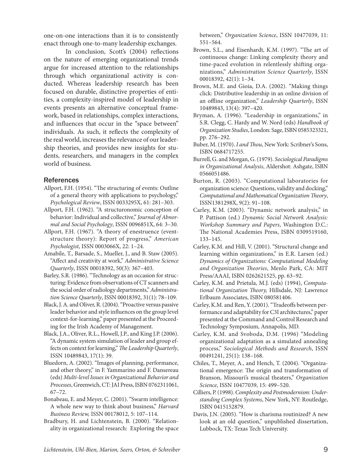one-on-one interactions than it is to consistently enact through one-to-many leadership exchanges.

In conclusion, Scott's (2004) reflections on the nature of emerging organizational trends argue for increased attention to the relationships through which organizational activity is conducted. Whereas leadership research has been focused on durable, distinctive properties of entities, a complexity-inspired model of leadership in events presents an alternative conceptual framework, based in relationships, complex interactions, and influences that occur in the "space between" individuals. As such, it reflects the complexity of the real world, increases the relevance of our leadership theories, and provides new insights for students, researchers, and managers in the complex world of business.

#### References

- Allport, F.H. (1954). "The structuring of events: Outline of a general theory with applications to psychology," *Psychological Review*, ISSN 0033295X, 61: 281–303.
- Allport, F.H. (1962). "A structuronomic conception of behavior: Individual and collective," *Journal of Abnormal and Social Psychology*, ISSN 0096851X, 64: 3–30.
- Allport, F.H. (1967). "A theory of enestruence (eventstructure theory): Report of progress," *American Psychologist*, ISSN 0003066X, 22: 1–24.
- Amabile, T., Barsade, S., Mueller, J., and B. Staw (2005). "Affect and creativity at work," *Administrative Science Quarterly*, ISSN 00018392, 50(3): 367–403.
- Barley, S.R. (1986). "Technology as an occasion for structuring: Evidence from observations of CT scanners and the social order of radiology departments," *Administration Science Quarterly*, ISSN 00018392, 31(1): 78–109.
- Black, J. A. and Oliver, R. (2004). "Proactive versus passive leader behavior and style influences on the group level context-for-learning," paper presented at the Proceeding for the Irish Academy of Management.
- Black, J.A., Oliver, R.L., Howell, J.P., and King J.P. (2006). "A dynamic system simulation of leader and group effects on context for learning," *The Leadership Quarterly*, ISSN 10489843, 17(1): 39.
- Bluedorn, A. (2002). "Images of planning, performance, and other theory," in F. Yammarino and F. Dansereau (eds) *Multi-level Issues in Organizational Behavior and Processes*, Greenwich, CT: JAI Press, ISBN 0762311061, 67–72.
- Bonabeau, E. and Meyer, C. (2001). "Swarm intelligence: A whole new way to think about business," *Harvard Business Review,* ISSN 00178012, 5: 107–114.
- Bradbury, H. and Lichtenstein, B. (2000). "Relationality in organizational research: Exploring the space

between," *Organization Science*, ISSN 10477039, 11: 551–564.

- Brown, S.L., and Eisenhardt, K.M. (1997). "The art of continuous change: Linking complexity theory and time-paced evolution in relentlessly shifting organizations," *Administration Science Quarterly*, ISSN 00018392, 42(1): 1–34.
- Brown, M.E. and Gioia, D.A. (2002). "Making things click: Distributive leadership in an online division of an offline organization," *Leadership Quarterly*, ISSN 10489843, 13(4): 397–420.
- Bryman, A. (1996). "Leadership in organizations," in S.R. Clegg, C. Hardy and W. Nord (eds) *Handbook of Organization Studies*, London: Sage, ISBN 0585323321, pp. 276–292.
- Buber, M. (1970). *I and Thou*, New York: Scribner's Sons, ISBN 0684717255.
- Burrell, G. and Morgan, G. (1979). *Sociological Paradigms in Organizational Analysis*, Aldershot: Ashgate, ISBN 0566051486.
- Burton, R. (2003). "Computational laboratories for organization science: Questions, validity and docking," *Computational and Mathematical Organization Theory*, ISSN1381298X, 9(2): 91–108.
- Carley, K.M. (2003). "Dynamic network analysis," in P. Pattison (ed.) *Dynamic Social Network Analysis: Workshop Summary and Papers*, Washington D.C.: The National Academies Press, ISBN 0309519160, 133–145.
- Carley, K.M. and Hill, V. (2001). "Structural change and learning within organizations," in E.R. Larsen (ed.) *Dynamics of Organizations: Computational Modeling and Organization Theories*, Menlo Park, CA: MIT Press/AAAI, ISBN 0262621525, pp. 63–92.
- Carley, K.M. and Prietula, M.J. (eds) (1994), *Computational Organization Theory,* Hillsdale, NJ: Lawrence Erlbaum Associates, ISBN 080581406.
- Carley, K.M. and Ren, Y. (2001). "Tradeoffs between performance and adaptability for C3I architectures," paper presented at the Command and Control Research and Technology Symposium, Annapolis, MD.
- Carley, K.M. and Svoboda, D.M. (1996) "Modeling organizational adaptation as a simulated annealing process," *Sociological Methods and Research*, ISSN 00491241, 25(1): 138–168.
- Chiles, T., Meyer, A., and Hench, T. (2004). "Organizational emergence: The origin and transformation of Branson, Missouri's musical theaters," *Organization Science*, ISSN 10477039, 15: 499–520.
- Cilliers, P. (1998). *Complexity and Postmodernism: Understanding Complex Systems*, New York, NY: Routledge, ISBN 0415152879.
- Davis, J.N. (2005). "How is charisma routinized? A new look at an old question," unpublished dissertation, Lubbock, TX: Texas Tech University.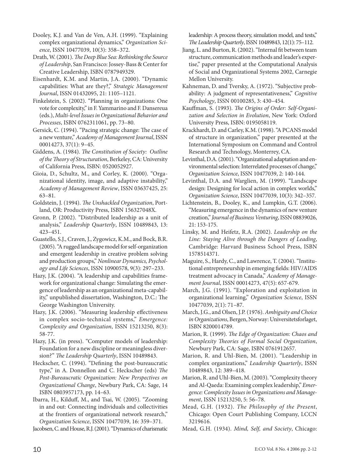Dooley, K.J. and Van de Ven, A.H. (1999). "Explaining complex organizational dynamics," *Organization Science*, ISSN 10477039, 10(3): 358–372.

Drath, W. (2001). *The Deep Blue Sea: Rethinking the Source of Leadership*, San Francisco: Jossey-Bass & Center for Creative Leadership, ISBN 0787949329.

Eisenhardt, K.M. and Martin, J.A. (2000). "Dynamic capabilities: What are they?," *Strategic Management Journal*, ISSN 01432095, 21: 1105–1121.

Finkelstein, S. (2002). "Planning in organizations: One vote for complexity," in F. Yammarino and F. Dansereua (eds.), *Multi-level Issues in Organizational Behavior and Processes*, ISBN 0762311061, pp. 73–80.

Gersick, C. (1994). "Pacing strategic change: The case of a new venture," *Academy of Management Journal*, ISSN 00014273, 37(1): 9–45.

Giddens, A. (1984). *The Constitution of Society: Outline of the Theory of Structuration*, Berkeley, CA: University of California Press, ISBN: 0520052927.

Gioia, D., Schultz, M., and Corley, K. (2000). "Organizational identity, image, and adaptive instability," *Academy of Management Review*, ISSN 03637425, 25: 63–81.

Goldstein, J. (1994). *The Unshackled Organization*, Portland, OR: Productivity Press, ISBN 156327048X.

Gronn, P. (2002). "Distributed leadership as a unit of analysis," *Leadership Quarterly*, ISSN 10489843, 13: 423–451.

Guastello, S.J., Craven, J., Zygowicz, K.M., and Bock, B.R. (2005). "A rugged landscape model for self-organization and emergent leadership in creative problem solving and production groups," *Nonlinear Dynamics, Psychology and Life Sciences*, ISSN 10900578, 9(3): 297–233.

Hazy, J.K. (2004). "A leadership and capabilities framework for organizational change: Simulating the emergence of leadership as an organizational meta-capability," unpublished dissertation, Washington, D.C.: The George Washington University.

Hazy, J.K. (2006). "Measuring leadership effectiveness in complex socio-technical systems," *Emergence: Complexity and Organization*, ISSN 15213250, 8(3): 58-77.

Hazy, J.K. (in press). "Computer models of leadership: Foundation for a new discipline or meaningless diversion?" *The Leadership Quarterly*, ISSN 10489843.

Heckscher, C. (1994). "Defining the post-bureaucratic type," in A. Donnellon and C. Heckscher (eds) *The Post-Bureaucratic Organization: New Perspectives on Organizational Change*, Newbury Park, CA: Sage, 14 ISBN 0803957173, pp. 14–63.

Ibarra, H., Kilduff, M., and Tsai, W. (2005). "Zooming in and out: Connecting individuals and collectivities at the frontiers of organizational network research," *Organization Science*, ISSN 10477039, 16: 359–371.

Jacobsen, C. and House, R.J. (2001). "Dynamics of charismatic

leadership: A process theory, simulation model, and tests," *The Leadership Quarterly*, ISSN 10489843, 12(1): 75–112.

- Jiang, L. and Burton, R. (2002). "Internal fit between team structure, communication methods and leader's expertise," paper presented at the Computational Analysis of Social and Organizational Systems 2002, Carnegie Mellon University.
- Kahneman, D. and Tversky, A. (1972). "Subjective probability: A judgment of representativeness," *Cognitive Psychology*, ISSN 00100285, 3: 430–454.

Kauffman, S. (1993). *The Origins of Order: Self-Organization and Selection in Evolution*, New York: Oxford University Press, ISBN: 0195058119.

Krackhardt, D. and Carley, K.M. (1998). "A PCANS model of structure in organization," paper presented at the International Symposium on Command and Control Research and Technology, Monterrey, CA.

Levinthal, D.A. (2001). "Organizational adaptation and environmental selection: Interrelated processes of change," *Organization Science*, ISSN 10477039, 2: 140-144.

Levinthal, D.A. and Warglien, M. (1999). "Landscape design: Designing for local action in complex worlds," *Organization Science*, ISSN 10477039, 10(3): 342–357.

Lichtenstein, B., Dooley, K., and Lumpkin, G.T. (2006). "Measuring emergence in the dynamics of new venture creation," *Journal of Business Venturing*, ISSN 08839026, 21: 153-175.

Linsky, M. and Heifetz, R.A. (2002). *Leadership on the Line: Staying Alive through the Dangers of Leading*, Cambridge: Harvard Business School Press, ISBN 1578514371.

Maguire, S., Hardy, C., and Lawrence, T. (2004). "Institutional entrepreneurship in emerging fields: HIV/AIDS treatment advocacy in Canada," *Academy of Management Journal*, ISSN 00014273, 47(5): 657-679.

March, J.G. (1991). "Exploration and exploitation in organizational learning," *Organization Science*, ISSN 10477039, 2(1): 71–87.

March, J.G., and Olsen, J.P. (1976). *Ambiguity and Choice in Organizations*, Bergen, Norway: Universitetsforlaget, ISBN 8200014789.

Marion, R. (1999). *The Edge of Organization: Chaos and Complexity Theories of Formal Social Organization*, Newbury Park, CA: Sage, ISBN 0761912657.

Marion, R. and Uhl-Bien, M. (2001). "Leadership in complex organizations," *Leadership Quarterly*, ISSN 10489843, 12: 389–418.

Marion, R. and Uhl-Bien, M. (2003). "Complexity theory and Al-Qaeda: Examining complex leadership," *Emergence: Complexity Issues in Organizations and Management*, ISSN 15213250, 5: 56–78.

Mead, G.H. (1932). *The Philosophy of the Present*, Chicago: Open Court Publishing Company, LCCN 3219616.

Mead, G.H. (1934). *Mind, Self, and Society*, Chicago: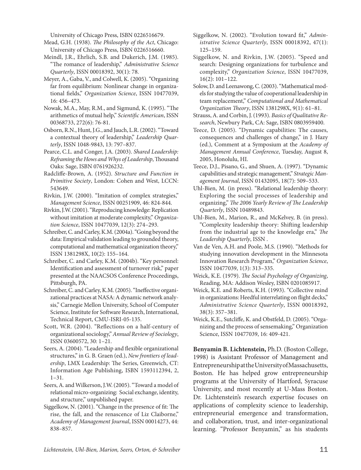University of Chicago Press, ISBN 0226516679.

- Mead, G.H. (1938). *The Philosophy of the Act*, Chicago: University of Chicago Press, ISBN 0226516660.
- Meindl, J.R., Ehrlich, S.B. and Dukerich, J.M. (1985). "The romance of leadership," *Administrative Science Quarterly*, ISSN 00018392, 30(1): 78.
- Meyer, A., Gaba, V., and Colwell, K. (2005). "Organizing far from equilibrium: Nonlinear change in organizational fields," *Organization Science*, ISSN 10477039, 16: 456–473.
- Nowak, M.A., May, R.M., and Sigmund, K. (1995). "The arithmetics of mutual help," *Scientific American*, ISSN 00368733, 272(6): 76-81.
- Osborn, R.N., Hunt, J.G., and Jauch, L.R. (2002). "Toward a contextual theory of leadership," *Leadership Quarterly*, ISSN 1048-9843, 13: 797–837.
- Pearce, C.L. and Conger, J.A. (2003). *Shared Leadership: Reframing the Hows and Whys of Leadership*, Thousand Oaks: Sage, ISBN 0761926232.
- Radcliffe-Brown, A. (1952). *Structure and Function in Primitive Society*, London: Cohen and West, LCCN: 543649.
- Rivkin, J.W. (2000). "Imitation of complex strategies," *Management Science*, ISSN 00251909, 46: 824-844.
- Rivkin, J.W. (2001). "Reproducing knowledge: Replication without imitation at moderate complexity," *Organization Science*, ISSN 10477039, 12(3): 274–293.
- Schreiber, C. and Carley, K.M. (2004a). "Going beyond the data: Empirical validation leading to grounded theory, computational and mathematical organization theory," ISSN 1381298X, 10(2): 155–164.
- Schreiber, C. and Carley, K.M. (2004b). "Key personnel: Identification and assessment of turnover risk," paper presented at the NAACSOS Conference Proceedings, Pittsburgh, PA.
- Schreiber, C. and Carley, K.M. (2005). "Ineffective organizational practices at NASA: A dynamic network analysis," Carnegie Mellon University, School of Computer Science, Institute for Software Research, International, Technical Report, CMU-ISRI-05-135.
- Scott, W.R. (2004). "Reflections on a half-century of organizational sociology," *Annual Review of Sociology*, ISSN 03600572, 30: 1–21.
- Seers, A. (2004). "Leadership and flexible organizational structures," in G. B. Graen (ed.), *New frontiers of leadership*, LMX Leadership: The Series, Greenwich, CT: Information Age Publishing, ISBN 1593112394, 2, 1–31.
- Seers, A. and Wilkerson, J.W. (2005). "Toward a model of relational micro-organizing: Social exchange, identity, and structure," unpublished paper.
- Siggelkow, N. (2001). "Change in the presence of fit: The rise, the fall, and the renascence of Liz Claiborne," *Academy of Management Journal*, ISSN 00014273, 44: 838–857.
- Siggelkow, N. (2002). "Evolution toward fit," *Administrative Science Quarterly*, ISSN 00018392, 47(1): 125–159.
- Siggelkow, N. and Rivkin, J.W. (2005). "Speed and search: Designing organizations for turbulence and complexity," *Organization Science*, ISSN 10477039, 16(2): 101–122.
- Solow, D. and Leenawong, C. (2003). "Mathematical models for studying the value of cooperational leadership in team replacement," *Computational and Mathematical Organization Theory*, ISSN 1381298X, 9(1): 61–81.
- Strauss, A. and Corbin, J. (1993). *Basics of Qualitative Research*, Newbury Park, CA: Sage, ISBN 0803959400.
- Teece, D. (2005). "Dynamic capabilities: The causes, consequences and challenges of change," in J. Hazy (ed.), Comment at a Symposium at the *Academy of Management Annual Conference*, Tuesday, August 8, 2005, Honolulu, HI.
- Teece, D.J., Pisano, G., and Shuen, A. (1997). "Dynamic capabilities and strategic management," *Strategic Management Journal*, ISSN 01432095, 18(7): 509–533.
- Uhl-Bien, M. (in press). "Relational leadership theory: Exploring the social processes of leadership and organizing," *The 2006 Yearly Review of The Leadership Quarterly*, ISSN 10489843.
- Uhl-Bien, M., Marion, R., and McKelvey, B. (in press). "Complexity leadership theory: Shifting leadership from the industrial age to the knowledge era," *The Leadership Quarterly*, ISSN .
- Van de Ven, A.H. and Poole, M.S. (1990). "Methods for studying innovation development in the Minnesota Innovation Research Program," *Organization Science*, ISSN 10477039, 1(3): 313–335.
- Weick, K.E. (1979). *The Social Psychology of Organizing*, Reading, MA: Addison Wesley, ISBN 0201085917.
- Weick, K.E. and Roberts, K.H. (1993). "Collective mind in organizations: Heedful interrelating on flight decks," *Administrative Science Quarterly*, ISSN 00018392, 38(3): 357–381.
- Weick, K.E., Sutcliffe, K. and Obstfeld, D. (2005). "Organizing and the process of sensemaking," Organization Science, ISSN 10477039, 16: 409-421.

**Benyamin B. Lichtenstein,** Ph.D. (Boston College, 1998) is Assistant Professor of Management and Entrepreneurship at the University of Massachusetts, Boston. He has helped grow entrepreneurship programs at the University of Hartford, Syracuse University, and most recently at U-Mass Boston. Dr. Lichtenstein's research expertise focuses on applications of complexity science to leadership, entrepreneurial emergence and transformation, and collaboration, trust, and inter-organizational learning. "Professor Benyamin," as his students